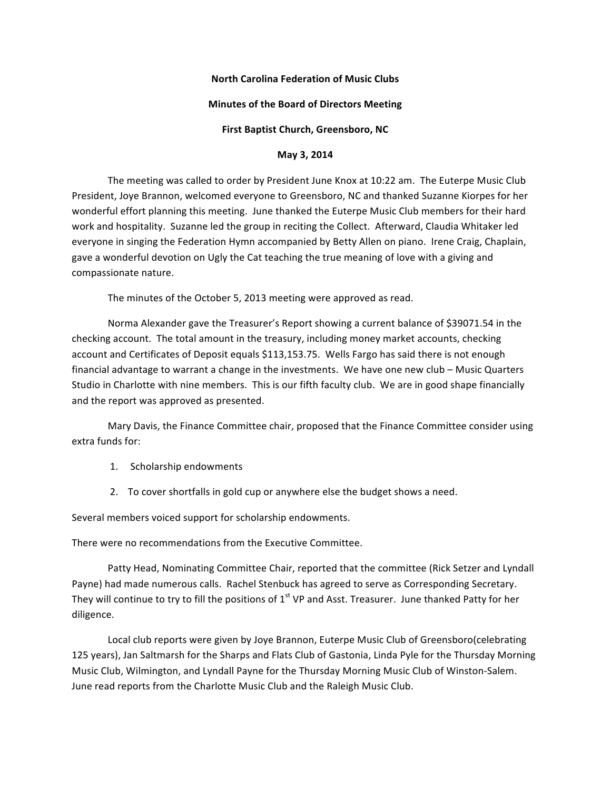### **North Carolina Federation of Music Clubs**

## **Minutes of the Board of Directors Meeting**

### **First Baptist Church, Greensboro, NC**

### **May 3, 2014**

The meeting was called to order by President June Knox at 10:22 am. The Euterpe Music Club President, Joye Brannon, welcomed everyone to Greensboro, NC and thanked Suzanne Kiorpes for her wonderful effort planning this meeting. June thanked the Euterpe Music Club members for their hard work and hospitality. Suzanne led the group in reciting the Collect. Afterward, Claudia Whitaker led everyone in singing the Federation Hymn accompanied by Betty Allen on piano. Irene Craig, Chaplain, gave a wonderful devotion on Ugly the Cat teaching the true meaning of love with a giving and compassionate nature.

The minutes of the October 5, 2013 meeting were approved as read.

Norma Alexander gave the Treasurer's Report showing a current balance of \$39071.54 in the checking account. The total amount in the treasury, including money market accounts, checking account and Certificates of Deposit equals \$113,153.75. Wells Fargo has said there is not enough financial advantage to warrant a change in the investments. We have one new club – Music Quarters Studio in Charlotte with nine members. This is our fifth faculty club. We are in good shape financially and the report was approved as presented.

Mary Davis, the Finance Committee chair, proposed that the Finance Committee consider using extra funds for:

- 1. Scholarship endowments
- 2. To cover shortfalls in gold cup or anywhere else the budget shows a need.

Several members voiced support for scholarship endowments.

There were no recommendations from the Executive Committee.

Patty Head, Nominating Committee Chair, reported that the committee (Rick Setzer and Lyndall Payne) had made numerous calls. Rachel Stenbuck has agreed to serve as Corresponding Secretary. They will continue to try to fill the positions of  $1<sup>st</sup>$  VP and Asst. Treasurer. June thanked Patty for her diligence.

Local club reports were given by Joye Brannon, Euterpe Music Club of Greensboro(celebrating 125 years), Jan Saltmarsh for the Sharps and Flats Club of Gastonia, Linda Pyle for the Thursday Morning Music Club, Wilmington, and Lyndall Payne for the Thursday Morning Music Club of Winston-Salem. June read reports from the Charlotte Music Club and the Raleigh Music Club.